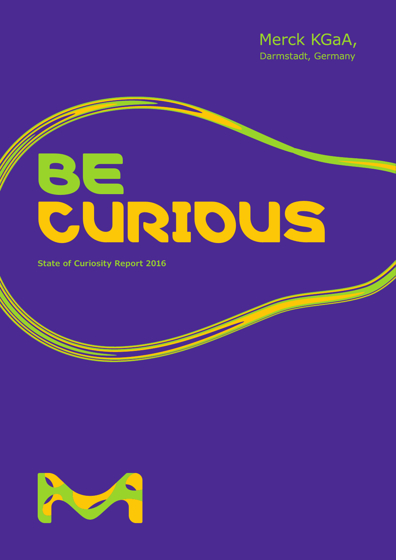

# BE CURIOUS

**State of Curiosity Report 2016**

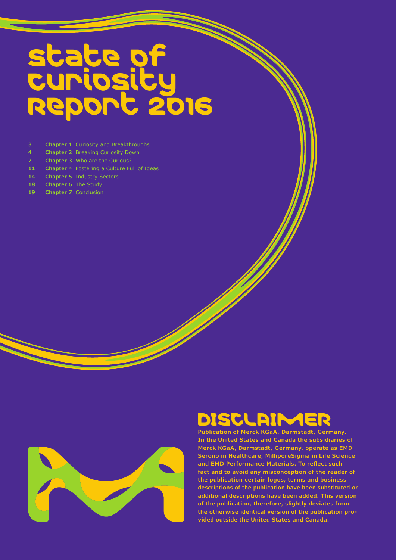# State of Curiosity Report 2016

- **3 Chapter 1** Curiosity and Breakthroughs
- **4 Chapter 2** Breaking Curiosity Down
- **7 Chapter 3** Who are the Curious?
- **11 Chapter 4** Fostering a Culture Full of Ideas
- **14 Chapter 5** Industry Sectors
- 18 **Chapter 6** The Study
- **19 Chapter 7** Conclusion



# DISCLAIM

**Publication of Merck KGaA, Darmstadt, Germany. In the United States and Canada the subsidiaries of Merck KGaA, Darmstadt, Germany, operate as EMD Serono in Healthcare, MilliporeSigma in Life Science and EMD Performance Materials. To reflect such fact and to avoid any misconception of the reader of the publication certain logos, terms and business descriptions of the publication have been substituted or additional descriptions have been added. This version of the publication, therefore, slightly deviates from the otherwise identical version of the publication provided outside the United States and Canada.**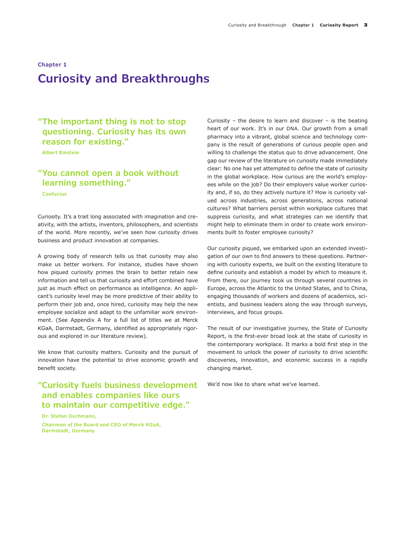# **Chapter 1 Curiosity and Breakthroughs**

## **"The important thing is not to stop questioning. Curiosity has its own reason for existing."**

**Albert Einstein**

# **"You cannot open a book without learning something."**

**Confucius** 

Curiosity. It's a trait long associated with imagination and creativity, with the artists, inventors, philosophers, and scientists of the world. More recently, we've seen how curiosity drives business and product innovation at companies.

A growing body of research tells us that curiosity may also make us better workers. For instance, studies have shown how piqued curiosity primes the brain to better retain new information and tell us that curiosity and effort combined have just as much effect on performance as intelligence. An applicant's curiosity level may be more predictive of their ability to perform their job and, once hired, curiosity may help the new employee socialize and adapt to the unfamiliar work environment. (See Appendix A for a full list of titles we at Merck KGaA, Darmstadt, Germany, identified as appropriately rigorous and explored in our literature review).

We know that curiosity matters. Curiosity and the pursuit of innovation have the potential to drive economic growth and benefit society.

## **"Curiosity fuels business development and enables companies like ours to maintain our competitive edge."**

**Dr. Stefan Oschmann, Chairman of the Board and CEO of Merck KGaA, Darmstadt, Germany** 

Curiosity – the desire to learn and discover – is the beating heart of our work. It's in our DNA. Our growth from a small pharmacy into a vibrant, global science and technology company is the result of generations of curious people open and willing to challenge the status quo to drive advancement. One gap our review of the literature on curiosity made immediately clear: No one has yet attempted to define the state of curiosity in the global workplace. How curious are the world's employees while on the job? Do their employers value worker curiosity and, if so, do they actively nurture it? How is curiosity valued across industries, across generations, across national cultures? What barriers persist within workplace cultures that suppress curiosity, and what strategies can we identify that might help to eliminate them in order to create work environments built to foster employee curiosity?

Our curiosity piqued, we embarked upon an extended investigation of our own to find answers to these questions. Partnering with curiosity experts, we built on the existing literature to define curiosity and establish a model by which to measure it. From there, our journey took us through several countries in Europe, across the Atlantic to the United States, and to China, engaging thousands of workers and dozens of academics, scientists, and business leaders along the way through surveys, interviews, and focus groups.

The result of our investigative journey, the State of Curiosity Report, is the first-ever broad look at the state of curiosity in the contemporary workplace. It marks a bold first step in the movement to unlock the power of curiosity to drive scientific discoveries, innovation, and economic success in a rapidly changing market.

We'd now like to share what we've learned.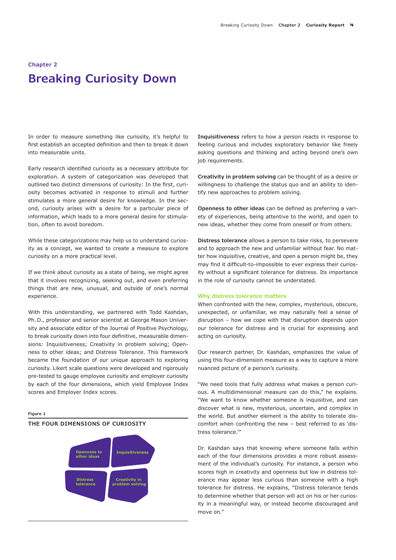# **Chapter 2 Breaking Curiosity Down**

In order to measure something like curiosity, it's helpful to first establish an accepted definition and then to break it down into measurable units.

Early research identified curiosity as a necessary attribute for exploration. A system of categorization was developed that outlined two distinct dimensions of curiosity: In the first, curiosity becomes activated in response to stimuli and further stimulates a more general desire for knowledge. In the second, curiosity arises with a desire for a particular piece of information, which leads to a more general desire for stimulation, often to avoid boredom.

While these categorizations may help us to understand curiosity as a concept, we wanted to create a measure to explore curiosity on a more practical level.

If we think about curiosity as a state of being, we might agree that it involves recognizing, seeking out, and even preferring things that are new, unusual, and outside of one's normal experience.

With this understanding, we partnered with Todd Kashdan, Ph.D., professor and senior scientist at George Mason University and associate editor of the Journal of Positive Psychology, to break curiosity down into four definitive, measurable dimensions: Inquisitiveness; Creativity in problem solving; Openness to other ideas; and Distress Tolerance. This framework became the foundation of our unique approach to exploring curiosity. Likert scale questions were developed and rigorously pre-tested to gauge employee curiosity and employer curiosity by each of the four dimensions, which yield Employee Index scores and Employer Index scores.

#### **Figure 1**

#### **THE FOUR DIMENSIONS OF CURIOSITY**



**Inquisitiveness** refers to how a person reacts in response to feeling curious and includes exploratory behavior like freely asking questions and thinking and acting beyond one's own job requirements.

**Creativity in problem solving** can be thought of as a desire or willingness to challenge the status quo and an ability to identify new approaches to problem solving.

**Openness to other ideas** can be defined as preferring a variety of experiences, being attentive to the world, and open to new ideas, whether they come from oneself or from others.

**Distress tolerance** allows a person to take risks, to persevere and to approach the new and unfamiliar without fear. No matter how inquisitive, creative, and open a person might be, they may find it difficult-to-impossible to ever express their curiosity without a significant tolerance for distress. Its importance in the role of curiosity cannot be understated.

#### **Why distress tolerance matters**

When confronted with the new, complex, mysterious, obscure, unexpected, or unfamiliar, we may naturally feel a sense of disruption – how we cope with that disruption depends upon our tolerance for distress and is crucial for expressing and acting on curiosity.

Our research partner, Dr. Kashdan, emphasizes the value of using this four-dimension measure as a way to capture a more nuanced picture of a person's curiosity.

"We need tools that fully address what makes a person curious. A multidimensional measure can do this," he explains. "We want to know whether someone is inquisitive, and can discover what is new, mysterious, uncertain, and complex in the world. But another element is the ability to tolerate discomfort when confronting the new – best referred to as 'distress tolerance.'"

Dr. Kashdan says that knowing where someone falls within each of the four dimensions provides a more robust assessment of the individual's curiosity. For instance, a person who scores high in creativity and openness but low in distress tolerance may appear less curious than someone with a high tolerance for distress. He explains, "Distress tolerance tends to determine whether that person will act on his or her curiosity in a meaningful way, or instead become discouraged and move on."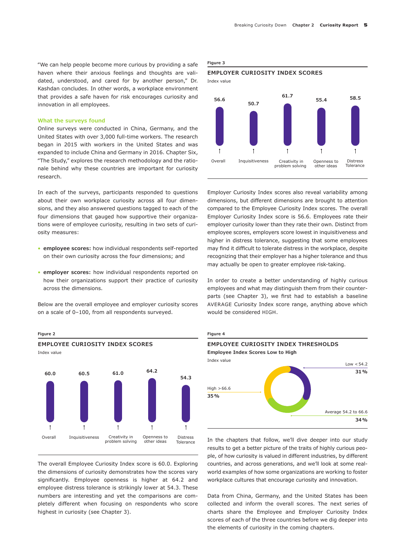"We can help people become more curious by providing a safe haven where their anxious feelings and thoughts are validated, understood, and cared for by another person," Dr. Kashdan concludes. In other words, a workplace environment that provides a safe haven for risk encourages curiosity and innovation in all employees.

#### **What the surveys found**

Online surveys were conducted in China, Germany, and the United States with over 3,000 full-time workers. The research began in 2015 with workers in the United States and was expanded to include China and Germany in 2016. Chapter Six, "The Study," explores the research methodology and the rationale behind why these countries are important for curiosity research.

In each of the surveys, participants responded to questions about their own workplace curiosity across all four dimensions, and they also answered questions tagged to each of the four dimensions that gauged how supportive their organizations were of employee curiosity, resulting in two sets of curiosity measures:

- **employee scores:** how individual respondents self-reported on their own curiosity across the four dimensions; and
- **employer scores:** how individual respondents reported on how their organizations support their practice of curiosity across the dimensions.

Below are the overall employee and employer curiosity scores on a scale of 0–100, from all respondents surveyed.



The overall Employee Curiosity Index score is 60.0. Exploring the dimensions of curiosity demonstrates how the scores vary significantly. Employee openness is higher at 64.2 and employee distress tolerance is strikingly lower at 54.3. These numbers are interesting and yet the comparisons are completely different when focusing on respondents who score highest in curiosity (see Chapter 3).

**Figure 3**



Index value



Employer Curiosity Index scores also reveal variability among dimensions, but different dimensions are brought to attention compared to the Employee Curiosity Index scores. The overall Employer Curiosity Index score is 56.6. Employees rate their employer curiosity lower than they rate their own. Distinct from employee scores, employers score lowest in inquisitiveness and higher in distress tolerance, suggesting that some employees may find it difficult to tolerate distress in the workplace, despite recognizing that their employer has a higher tolerance and thus may actually be open to greater employee risk-taking.

In order to create a better understanding of highly curious employees and what may distinguish them from their counterparts (see Chapter 3), we first had to establish a baseline AVERAGE Curiosity Index score range, anything above which would be considered HIGH.



In the chapters that follow, we'll dive deeper into our study results to get a better picture of the traits of highly curious people, of how curiosity is valued in different industries, by different countries, and across generations, and we'll look at some realworld examples of how some organizations are working to foster workplace cultures that encourage curiosity and innovation.

Data from China, Germany, and the United States has been collected and inform the overall scores. The next series of charts share the Employee and Employer Curiosity Index scores of each of the three countries before we dig deeper into the elements of curiosity in the coming chapters.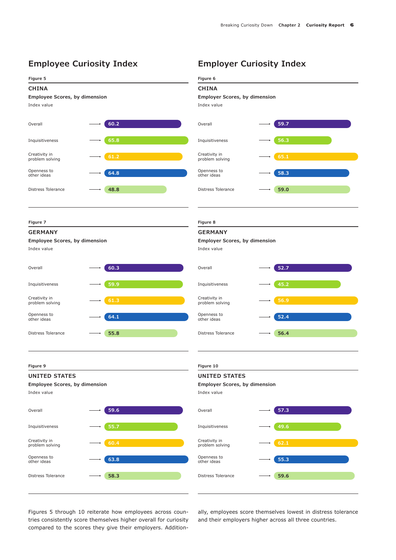# **Employee Curiosity Index Employer Curiosity Index**

**Figure 5**

**Figure 7**

#### **CHINA Employee Scores, by dimension**  Index value Overall **60.2** Distress Tolerance **48.8 C** Openness to **CONFINGLE CONFIDENT** CONFIDENTIAL CONFIDENTIAL CONFIDENTIAL CONFIDENTIAL CONFIDENTIAL CONFIDENTIAL CONFIDENTIAL CONFIDENTIAL CONFIDENTIAL CONFIDENTIAL CONFIDENTIAL CONFIDENTIAL CONFIDENTIAL CONFIDENTIAL CO Inquisitiveness **65.8 61.2** Creativity in problem solving **CHINA Employer Scores, by dimension**  Index value Overall **59.7** Distress Tolerance **59.0 58.3** Openness to other ideas Inquisitiveness **56.3 65.1** Creativity in problem solving **GERMANY Employee Scores, by dimension**  Index value Overall **60.3** Distress Tolerance **55.8 C** Openness to **Confidence 64.1** Openness to **Confidence** Inquisitiveness **59.9 61.3** Creativity in problem solving **UNITED STATES Employee Scores, by dimension**  Index value Overall **59.6** Distress Tolerance **58.3** Openness to **63.8** other ideas Inquisitiveness **55.7 Creativity in 60.4** problem solving **UNITED STATES Employer Scores, by dimension**  Index value Overall **57.3** Distress Tolerance **59.6** Openness to **55.3** other ideas Inquisitiveness **49.6 Creativity in 62.1** problem solving **GERMANY Employer Scores, by dimension**  Index value Overall **52.7** Distress Tolerance **56.4 Same Openness to Same Construction Constrainer Solution S2.4** Inquisitiveness **45.2 56.9** Creativity in problem solving **Figure 9 Figure 10 Figure 8**

**Figure 6**

Figures 5 through 10 reiterate how employees across countries consistently score themselves higher overall for curiosity compared to the scores they give their employers. Additionally, employees score themselves lowest in distress tolerance and their employers higher across all three countries.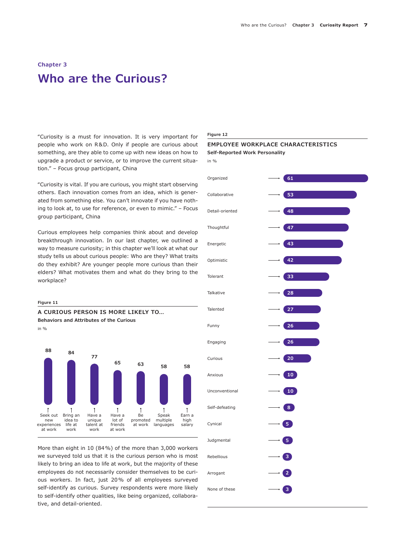# **Chapter 3 Who are the Curious?**

"Curiosity is a must for innovation. It is very important for people who work on R&D. Only if people are curious about something, are they able to come up with new ideas on how to upgrade a product or service, or to improve the current situation." – Focus group participant, China

"Curiosity is vital. If you are curious, you might start observing others. Each innovation comes from an idea, which is generated from something else. You can't innovate if you have nothing to look at, to use for reference, or even to mimic." – Focus group participant, China

Curious employees help companies think about and develop breakthrough innovation. In our last chapter, we outlined a way to measure curiosity; in this chapter we'll look at what our study tells us about curious people: Who are they? What traits do they exhibit? Are younger people more curious than their elders? What motivates them and what do they bring to the workplace?

#### **Figure 11**

**A CURIOUS PERSON IS MORE LIKELY TO… Behaviors and Attributes of the Curious**





More than eight in 10 (84%) of the more than 3,000 workers we surveyed told us that it is the curious person who is most likely to bring an idea to life at work, but the majority of these employees do not necessarily consider themselves to be curious workers. In fact, just 20% of all employees surveyed self-identify as curious. Survey respondents were more likely to self-identify other qualities, like being organized, collaborative, and detail-oriented.

#### **Figure 12**



**EMPLOYEE WORKPLACE CHARACTERISTICS**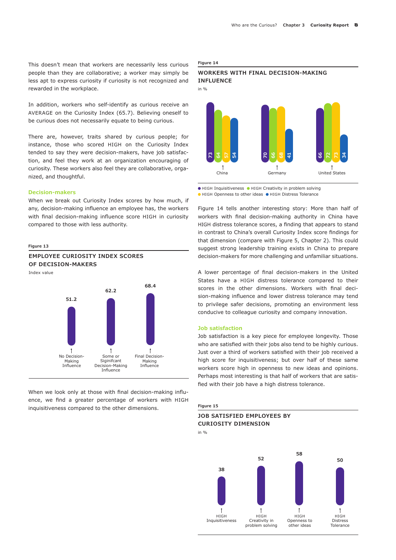This doesn't mean that workers are necessarily less curious people than they are collaborative; a worker may simply be less apt to express curiosity if curiosity is not recognized and rewarded in the workplace.

In addition, workers who self-identify as curious receive an AVERAGE on the Curiosity Index (65.7). Believing oneself to be curious does not necessarily equate to being curious.

There are, however, traits shared by curious people; for instance, those who scored HIGH on the Curiosity Index tended to say they were decision-makers, have job satisfaction, and feel they work at an organization encouraging of curiosity. These workers also feel they are collaborative, organized, and thoughtful.

#### **Decision-makers**

When we break out Curiosity Index scores by how much, if any, decision-making influence an employee has, the workers with final decision-making influence score HIGH in curiosity compared to those with less authority.



When we look only at those with final decision-making influence, we find a greater percentage of workers with HIGH inquisitiveness compared to the other dimensions.

Influence

#### **Figure 14**

#### **WORKERS WITH FINAL DECISION-MAKING INFLUENCE**



 $\bullet$  HIGH Inquisitiveness  $\bullet$  HIGH Creativity in problem solving ● HIGH Openness to other ideas ● HIGH Distress Tolerance

Figure 14 tells another interesting story: More than half of workers with final decision-making authority in China have HIGH distress tolerance scores, a finding that appears to stand in contrast to China's overall Curiosity Index score findings for that dimension (compare with Figure 5, Chapter 2). This could suggest strong leadership training exists in China to prepare decision-makers for more challenging and unfamiliar situations.

A lower percentage of final decision-makers in the United States have a HIGH distress tolerance compared to their scores in the other dimensions. Workers with final decision-making influence and lower distress tolerance may tend to privilege safer decisions, promoting an environment less conducive to colleague curiosity and company innovation.

#### **Job satisfaction**

Job satisfaction is a key piece for employee longevity. Those who are satisfied with their jobs also tend to be highly curious. Just over a third of workers satisfied with their job received a high score for inquisitiveness; but over half of these same workers score high in openness to new ideas and opinions. Perhaps most interesting is that half of workers that are satisfied with their job have a high distress tolerance.



#### **JOB SATISFIED EMPLOYEES BY CURIOSITY DIMENSION**

in %

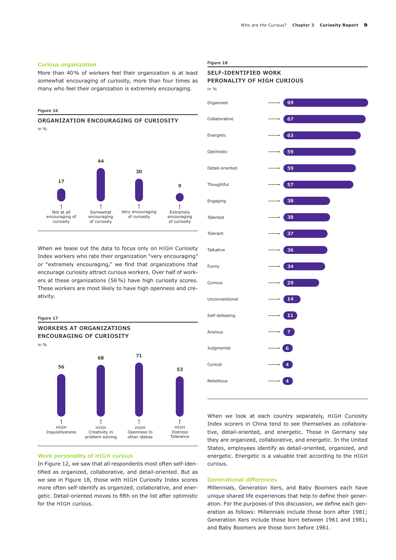#### **Curious organization**

More than 40% of workers feel their organization is at least somewhat encouraging of curiosity, more than four times as many who feel their organization is extremely encouraging.

#### **Figure 16**



When we tease out the data to focus only on HIGH Curiosity Index workers who rate their organization "very encouraging" or "extremely encouraging," we find that organizations that encourage curiosity attract curious workers. Over half of workers at these organizations (56%) have high curiosity scores. These workers are most likely to have high openness and creativity.

#### **Figure 17**



#### **Work personality of HIGH curious**

In Figure 12, we saw that all respondents most often self-identified as organized, collaborative, and detail-oriented. But as we see in Figure 18, those with HIGH Curiosity Index scores more often self-identify as organized, collaborative, and energetic. Detail-oriented moves to fifth on the list after optimistic for the HIGH curious.

#### **Figure 18**

#### **SELF-IDENTIFIED WORK PERONALITY OF HIGH CURIOUS**



When we look at each country separately, HIGH Curiosity Index scorers in China tend to see themselves as collaborative, detail-oriented, and energetic. Those in Germany say they are organized, collaborative, and energetic. In the United States, employees identify as detail-oriented, organized, and energetic. Energetic is a valuable trait according to the HIGH curious.

#### **Generational differences**

Millennials, Generation Xers, and Baby Boomers each have unique shared life experiences that help to define their generation. For the purposes of this discussion, we define each generation as follows: Millennials include those born after 1981; Generation Xers include those born between 1961 and 1981; and Baby Boomers are those born before 1961.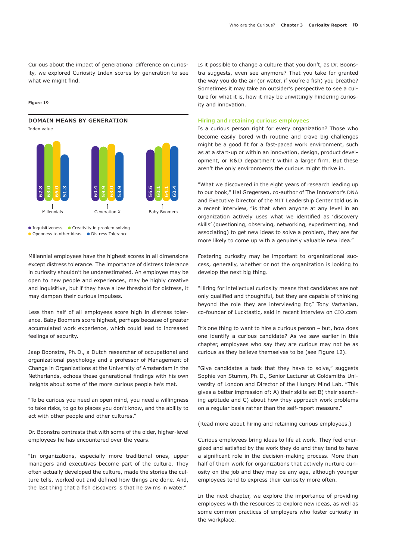Curious about the impact of generational difference on curiosity, we explored Curiosity Index scores by generation to see what we might find.

**Figure 19**

#### **DOMAIN MEANS BY GENERATION**

Index value



● Inquisitiveness ● Creativity in problem solving

● Openness to other ideas ● Distress Tolerance

Millennial employees have the highest scores in all dimensions except distress tolerance. The importance of distress tolerance in curiosity shouldn't be underestimated. An employee may be open to new people and experiences, may be highly creative and inquisitive, but if they have a low threshold for distress, it may dampen their curious impulses.

Less than half of all employees score high in distress tolerance. Baby Boomers score highest, perhaps because of greater accumulated work experience, which could lead to increased feelings of security.

Jaap Boonstra, Ph.D., a Dutch researcher of occupational and organizational psychology and a professor of Management of Change in Organizations at the University of Amsterdam in the Netherlands, echoes these generational findings with his own insights about some of the more curious people he's met.

"To be curious you need an open mind, you need a willingness to take risks, to go to places you don't know, and the ability to act with other people and other cultures."

Dr. Boonstra contrasts that with some of the older, higher-level employees he has encountered over the years.

"In organizations, especially more traditional ones, upper managers and executives become part of the culture. They often actually developed the culture, made the stories the culture tells, worked out and defined how things are done. And, the last thing that a fish discovers is that he swims in water."

Is it possible to change a culture that you don't, as Dr. Boonstra suggests, even see anymore? That you take for granted the way you do the air (or water, if you're a fish) you breathe? Sometimes it may take an outsider's perspective to see a culture for what it is, how it may be unwittingly hindering curiosity and innovation.

#### **Hiring and retaining curious employees**

Is a curious person right for every organization? Those who become easily bored with routine and crave big challenges might be a good fit for a fast-paced work environment, such as at a start-up or within an innovation, design, product development, or R&D department within a larger firm. But these aren't the only environments the curious might thrive in.

"What we discovered in the eight years of research leading up to our book," Hal Gregersen, co-author of The Innovator's DNA and Executive Director of the MIT Leadership Center told us in a recent interview, "is that when anyone at any level in an organization actively uses what we identified as 'discovery skills' (questioning, observing, networking, experimenting, and associating) to get new ideas to solve a problem, they are far more likely to come up with a genuinely valuable new idea."

Fostering curiosity may be important to organizational success, generally, whether or not the organization is looking to develop the next big thing.

"Hiring for intellectual curiosity means that candidates are not only qualified and thoughtful, but they are capable of thinking beyond the role they are interviewing for," Tony Vartanian, co-founder of Lucktastic, said in recent interview on CIO.com

It's one thing to want to hire a curious person – but, how does one identify a curious candidate? As we saw earlier in this chapter, employees who say they are curious may not be as curious as they believe themselves to be (see Figure 12).

"Give candidates a task that they have to solve," suggests Sophie von Stumm, Ph.D., Senior Lecturer at Goldsmiths University of London and Director of the Hungry Mind Lab. "This gives a better impression of: A) their skills set B) their searching aptitude and C) about how they approach work problems on a regular basis rather than the self-report measure."

(Read more about hiring and retaining curious employees.)

Curious employees bring ideas to life at work. They feel energized and satisfied by the work they do and they tend to have a significant role in the decision-making process. More than half of them work for organizations that actively nurture curiosity on the job and they may be any age, although younger employees tend to express their curiosity more often.

In the next chapter, we explore the importance of providing employees with the resources to explore new ideas, as well as some common practices of employers who foster curiosity in the workplace.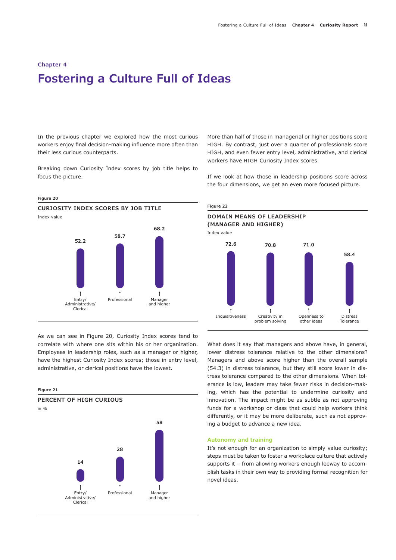# **Chapter 4 Fostering a Culture Full of Ideas**

In the previous chapter we explored how the most curious workers enjoy final decision-making influence more often than their less curious counterparts.

Breaking down Curiosity Index scores by job title helps to focus the picture.

#### **Figure 20**



As we can see in Figure 20, Curiosity Index scores tend to correlate with where one sits within his or her organization. Employees in leadership roles, such as a manager or higher, have the highest Curiosity Index scores; those in entry level, administrative, or clerical positions have the lowest.



More than half of those in managerial or higher positions score HIGH. By contrast, just over a quarter of professionals score HIGH, and even fewer entry level, administrative, and clerical workers have HIGH Curiosity Index scores.

If we look at how those in leadership positions score across the four dimensions, we get an even more focused picture.



What does it say that managers and above have, in general, lower distress tolerance relative to the other dimensions? Managers and above score higher than the overall sample (54.3) in distress tolerance, but they still score lower in distress tolerance compared to the other dimensions. When tolerance is low, leaders may take fewer risks in decision-making, which has the potential to undermine curiosity and innovation. The impact might be as subtle as not approving funds for a workshop or class that could help workers think differently, or it may be more deliberate, such as not approving a budget to advance a new idea.

#### **Autonomy and training**

It's not enough for an organization to simply value curiosity; steps must be taken to foster a workplace culture that actively supports it – from allowing workers enough leeway to accomplish tasks in their own way to providing formal recognition for novel ideas.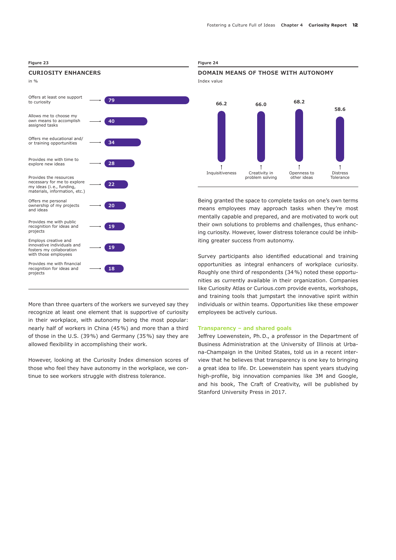#### **Figure 23 Figure 24**

#### **CURIOSITY ENHANCERS**

| in $\%$                                                                                                            |    |
|--------------------------------------------------------------------------------------------------------------------|----|
| Offers at least one support<br>to curiosity                                                                        | 79 |
| Allows me to choose my<br>own means to accomplish<br>assigned tasks                                                | 40 |
| Offers me educational and/<br>or training opportunities                                                            | 34 |
| Provides me with time to<br>explore new ideas                                                                      | 28 |
| Provides the resources<br>necessary for me to explore<br>my ideas (i.e., funding,<br>materials, information, etc.) | 22 |
| Offers me personal<br>ownership of my projects<br>and ideas                                                        | 20 |
| Provides me with public<br>recognition for ideas and<br>projects                                                   | 19 |
| Employs creative and<br>innovative individuals and<br>fosters my collaboration<br>with those employees             | 19 |
| Provides me with financial<br>recognition for ideas and<br>projects                                                | 18 |
|                                                                                                                    |    |



Being granted the space to complete tasks on one's own terms means employees may approach tasks when they're most mentally capable and prepared, and are motivated to work out their own solutions to problems and challenges, thus enhancing curiosity. However, lower distress tolerance could be inhibiting greater success from autonomy.

Survey participants also identified educational and training opportunities as integral enhancers of workplace curiosity. Roughly one third of respondents (34%) noted these opportunities as currently available in their organization. Companies like Curiosity Atlas or Curious.com provide events, workshops, and training tools that jumpstart the innovative spirit within individuals or within teams. Opportunities like these empower employees be actively curious.

#### **Transparency – and shared goals**

Jeffrey Loewenstein, Ph.D., a professor in the Department of Business Administration at the University of Illinois at Urbana-Champaign in the United States, told us in a recent interview that he believes that transparency is one key to bringing a great idea to life. Dr. Loewenstein has spent years studying high-profile, big innovation companies like 3M and Google, and his book, The Craft of Creativity, will be published by Stanford University Press in 2017.

More than three quarters of the workers we surveyed say they recognize at least one element that is supportive of curiosity in their workplace, with autonomy being the most popular: nearly half of workers in China (45%) and more than a third of those in the U.S. (39%) and Germany (35%) say they are allowed flexibility in accomplishing their work.

However, looking at the Curiosity Index dimension scores of those who feel they have autonomy in the workplace, we continue to see workers struggle with distress tolerance.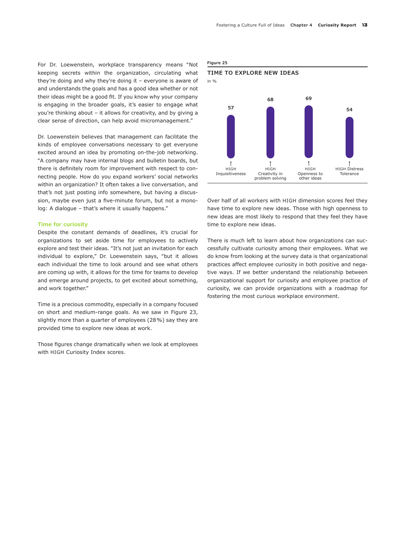For Dr. Loewenstein, workplace transparency means "Not keeping secrets within the organization, circulating what they're doing and why they're doing it – everyone is aware of and understands the goals and has a good idea whether or not their ideas might be a good fit. If you know why your company is engaging in the broader goals, it's easier to engage what you're thinking about – it allows for creativity, and by giving a clear sense of direction, can help avoid micromanagement."

Dr. Loewenstein believes that management can facilitate the kinds of employee conversations necessary to get everyone excited around an idea by promoting on-the-job networking. "A company may have internal blogs and bulletin boards, but there is definitely room for improvement with respect to connecting people. How do you expand workers' social networks within an organization? It often takes a live conversation, and that's not just posting info somewhere, but having a discussion, maybe even just a five-minute forum, but not a monolog: A dialogue - that's where it usually happens."

#### **Time for curiosity**

Despite the constant demands of deadlines, it's crucial for organizations to set aside time for employees to actively explore and test their ideas. "It's not just an invitation for each individual to explore," Dr. Loewenstein says, "but it allows each individual the time to look around and see what others are coming up with, it allows for the time for teams to develop and emerge around projects, to get excited about something, and work together."

Time is a precious commodity, especially in a company focused on short and medium-range goals. As we saw in Figure 23, slightly more than a quarter of employees (28%) say they are provided time to explore new ideas at work.

Those figures change dramatically when we look at employees with HIGH Curiosity Index scores.

**Figure 25**



Over half of all workers with HIGH dimension scores feel they have time to explore new ideas. Those with high openness to new ideas are most likely to respond that they feel they have time to explore new ideas.

There is much left to learn about how organizations can successfully cultivate curiosity among their employees. What we do know from looking at the survey data is that organizational practices affect employee curiosity in both positive and negative ways. If we better understand the relationship between organizational support for curiosity and employee practice of curiosity, we can provide organizations with a roadmap for fostering the most curious workplace environment.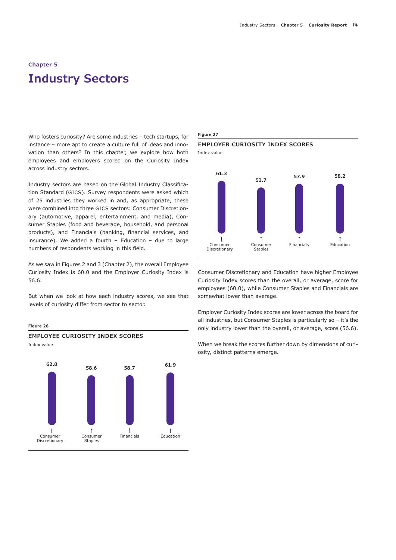# **Chapter 5 Industry Sectors**

Who fosters curiosity? Are some industries – tech startups, for instance – more apt to create a culture full of ideas and innovation than others? In this chapter, we explore how both employees and employers scored on the Curiosity Index across industry sectors.

Industry sectors are based on the Global Industry Classification Standard (GICS). Survey respondents were asked which of 25 industries they worked in and, as appropriate, these were combined into three GICS sectors: Consumer Discretionary (automotive, apparel, entertainment, and media), Consumer Staples (food and beverage, household, and personal products), and Financials (banking, financial services, and insurance). We added a fourth – Education – due to large numbers of respondents working in this field.

As we saw in Figures 2 and 3 (Chapter 2), the overall Employee Curiosity Index is 60.0 and the Employer Curiosity Index is 56.6.

But when we look at how each industry scores, we see that levels of curiosity differ from sector to sector.



#### **Figure 27**

#### **EMPLOYER CURIOSITY INDEX SCORES**

Index value



Consumer Discretionary and Education have higher Employee Curiosity Index scores than the overall, or average, score for employees (60.0), while Consumer Staples and Financials are somewhat lower than average.

Employer Curiosity Index scores are lower across the board for all industries, but Consumer Staples is particularly so – it's the only industry lower than the overall, or average, score (56.6).

When we break the scores further down by dimensions of curiosity, distinct patterns emerge.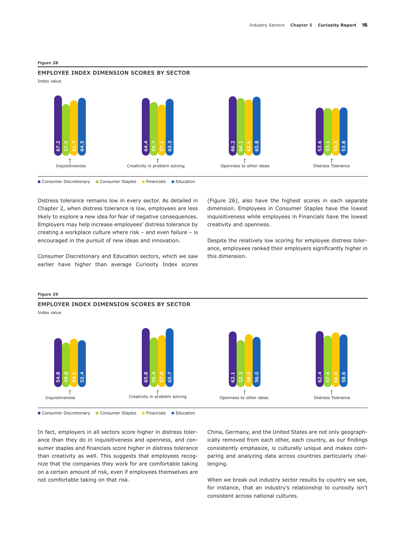

#### **EMPLOYEE INDEX DIMENSION SCORES BY SECTOR**

Index value



● Consumer Discretionary ● Consumer Staples ● Financials ● Education

Distress tolerance remains low in every sector. As detailed in Chapter 2, when distress tolerance is low, employees are less likely to explore a new idea for fear of negative consequences. Employers may help increase employees' distress tolerance by creating a workplace culture where risk – and even failure – is encouraged in the pursuit of new ideas and innovation.

Consumer Discretionary and Education sectors, which we saw earlier have higher than average Curiosity Index scores (Figure 26), also have the highest scores in each separate dimension. Employees in Consumer Staples have the lowest inquisitiveness while employees in Financials have the lowest creativity and openness.

Despite the relatively low scoring for employee distress tolerance, employees ranked their employers significantly higher in this dimension.



In fact, employers in all sectors score higher in distress tolerance than they do in inquisitiveness and openness, and consumer staples and financials score higher in distress tolerance than creativity as well. This suggests that employees recognize that the companies they work for are comfortable taking on a certain amount of risk, even if employees themselves are not comfortable taking on that risk.

China, Germany, and the United States are not only geographically removed from each other, each country, as our findings consistently emphasize, is culturally unique and makes comparing and analyzing data across countries particularly challenging.

When we break out industry sector results by country we see, for instance, that an industry's relationship to curiosity isn't consistent across national cultures.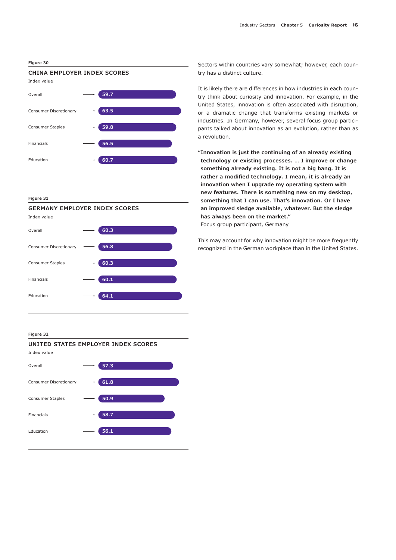#### **Figure 30**

# **CHINA EMPLOYER INDEX SCORES**



#### **Figure 31**



Index value



#### **Figure 32**



Sectors within countries vary somewhat; however, each country has a distinct culture.

It is likely there are differences in how industries in each country think about curiosity and innovation. For example, in the United States, innovation is often associated with disruption, or a dramatic change that transforms existing markets or industries. In Germany, however, several focus group participants talked about innovation as an evolution, rather than as a revolution.

**"Innovation is just the continuing of an already existing technology or existing processes. … I improve or change something already existing. It is not a big bang. It is rather a modified technology. I mean, it is already an innovation when I upgrade my operating system with new features. There is something new on my desktop, something that I can use. That's innovation. Or I have an improved sledge available, whatever. But the sledge has always been on the market."**  Focus group participant, Germany

This may account for why innovation might be more frequently recognized in the German workplace than in the United States.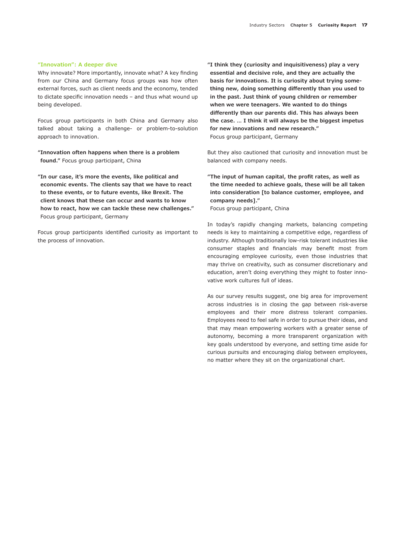#### **"Innovation": A deeper dive**

Why innovate? More importantly, innovate what? A key finding from our China and Germany focus groups was how often external forces, such as client needs and the economy, tended to dictate specific innovation needs – and thus what wound up being developed.

Focus group participants in both China and Germany also talked about taking a challenge- or problem-to-solution approach to innovation.

**"Innovation often happens when there is a problem found."** Focus group participant, China

**"In our case, it's more the events, like political and economic events. The clients say that we have to react to these events, or to future events, like Brexit. The client knows that these can occur and wants to know how to react, how we can tackle these new challenges."** Focus group participant, Germany

Focus group participants identified curiosity as important to the process of innovation.

**"I think they (curiosity and inquisitiveness) play a very essential and decisive role, and they are actually the basis for innovations. It is curiosity about trying something new, doing something differently than you used to in the past. Just think of young children or remember when we were teenagers. We wanted to do things differently than our parents did. This has always been the case. … I think it will always be the biggest impetus for new innovations and new research."**  Focus group participant, Germany

But they also cautioned that curiosity and innovation must be balanced with company needs.

**"The input of human capital, the profit rates, as well as the time needed to achieve goals, these will be all taken into consideration [to balance customer, employee, and company needs]."** 

Focus group participant, China

In today's rapidly changing markets, balancing competing needs is key to maintaining a competitive edge, regardless of industry. Although traditionally low-risk tolerant industries like consumer staples and financials may benefit most from encouraging employee curiosity, even those industries that may thrive on creativity, such as consumer discretionary and education, aren't doing everything they might to foster innovative work cultures full of ideas.

As our survey results suggest, one big area for improvement across industries is in closing the gap between risk-averse employees and their more distress tolerant companies. Employees need to feel safe in order to pursue their ideas, and that may mean empowering workers with a greater sense of autonomy, becoming a more transparent organization with key goals understood by everyone, and setting time aside for curious pursuits and encouraging dialog between employees, no matter where they sit on the organizational chart.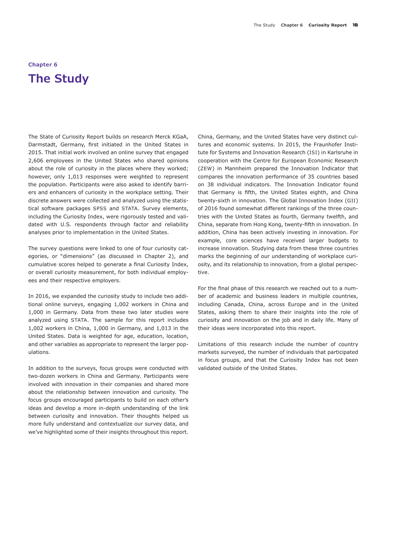# **Chapter 6 The Study**

The State of Curiosity Report builds on research Merck KGaA, Darmstadt, Germany, first initiated in the United States in 2015. That initial work involved an online survey that engaged 2,606 employees in the United States who shared opinions about the role of curiosity in the places where they worked; however, only 1,013 responses were weighted to represent the population. Participants were also asked to identify barriers and enhancers of curiosity in the workplace setting. Their discrete answers were collected and analyzed using the statistical software packages SPSS and STATA. Survey elements, including the Curiosity Index, were rigorously tested and validated with U.S. respondents through factor and reliability analyses prior to implementation in the United States.

The survey questions were linked to one of four curiosity categories, or "dimensions" (as discussed in Chapter 2), and cumulative scores helped to generate a final Curiosity Index, or overall curiosity measurement, for both individual employees and their respective employers.

In 2016, we expanded the curiosity study to include two additional online surveys, engaging 1,002 workers in China and 1,000 in Germany. Data from these two later studies were analyzed using STATA. The sample for this report includes 1,002 workers in China, 1,000 in Germany, and 1,013 in the United States. Data is weighted for age, education, location, and other variables as appropriate to represent the larger populations.

In addition to the surveys, focus groups were conducted with two-dozen workers in China and Germany. Participants were involved with innovation in their companies and shared more about the relationship between innovation and curiosity. The focus groups encouraged participants to build on each other's ideas and develop a more in-depth understanding of the link between curiosity and innovation. Their thoughts helped us more fully understand and contextualize our survey data, and we've highlighted some of their insights throughout this report. China, Germany, and the United States have very distinct cultures and economic systems. In 2015, the Fraunhofer Institute for Systems and Innovation Research (ISI) in Karlsruhe in cooperation with the Centre for European Economic Research (ZEW) in Mannheim prepared the Innovation Indicator that compares the innovation performance of 35 countries based on 38 individual indicators. The Innovation Indicator found that Germany is fifth, the United States eighth, and China twenty-sixth in innovation. The Global Innovation Index (GII) of 2016 found somewhat different rankings of the three countries with the United States as fourth, Germany twelfth, and China, separate from Hong Kong, twenty-fifth in innovation. In addition, China has been actively investing in innovation. For example, core sciences have received larger budgets to increase innovation. Studying data from these three countries marks the beginning of our understanding of workplace curiosity, and its relationship to innovation, from a global perspective.

For the final phase of this research we reached out to a number of academic and business leaders in multiple countries, including Canada, China, across Europe and in the United States, asking them to share their insights into the role of curiosity and innovation on the job and in daily life. Many of their ideas were incorporated into this report.

Limitations of this research include the number of country markets surveyed, the number of individuals that participated in focus groups, and that the Curiosity Index has not been validated outside of the United States.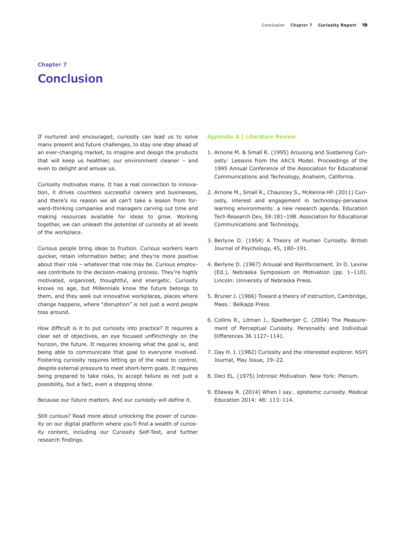# **Chapter 7 Conclusion**

If nurtured and encouraged, curiosity can lead us to solve many present and future challenges, to stay one step ahead of an ever-changing market, to imagine and design the products that will keep us healthier, our environment cleaner – and even to delight and amuse us.

Curiosity motivates many. It has a real connection to innovation, it drives countless successful careers and businesses, and there's no reason we all can't take a lesson from forward-thinking companies and managers carving out time and making resources available for ideas to grow. Working together, we can unleash the potential of curiosity at all levels of the workplace.

Curious people bring ideas to fruition. Curious workers learn quicker, retain information better, and they're more positive about their role – whatever that role may be. Curious employees contribute to the decision-making process. They're highly motivated, organized, thoughtful, and energetic. Curiosity knows no age, but Millennials know the future belongs to them, and they seek out innovative workplaces, places where change happens, where "disruption" is not just a word people toss around.

How difficult is it to put curiosity into practice? It requires a clear set of objectives, an eye focused unflinchingly on the horizon, the future. It requires knowing what the goal is, and being able to communicate that goal to everyone involved. Fostering curiosity requires letting go of the need to control, despite external pressure to meet short-term goals. It requires being prepared to take risks, to accept failure as not just a possibility, but a fact, even a stepping stone.

Because our future matters. And our curiosity will define it.

Still curious? Read more about unlocking the power of curiosity on our digital platform where you'll find a wealth of curiosity content, including our Curiosity Self-Test, and further research findings.

#### **Appendix A | Literature Review**

- 1. Arnone M. & Small R. (1995) Arousing and Sustaining Curiosity: Lessons from the ARCS Model. Proceedings of the 1995 Annual Conference of the Association for Educational Communications and Technology, Anaheim, California.
- 2. Arnone M., Small R., Chauncey S., McKenna HP. (2011) Curiosity, interest and engagement in technology-pervasive learning environments: a new research agenda. Education Tech Research Dev, 59:181–198. Association for Educational Communications and Technology.
- 3. Berlyne D. (1954) A Theory of Human Curiosity. British Journal of Psychology, 45, 180–191.
- 4. Berlyne D. (1967) Arousal and Reinforcement. In D. Levine (Ed.), Nebraska Symposium on Motivation (pp. 1–110). Lincoln: University of Nebraska Press.
- 5. Bruner J. (1966) Toward a theory of instruction, Cambridge, Mass.: Belkapp Press.
- 6. Collins R., Litman J., Spielberger C. (2004) The Measurement of Perceptual Curiosity. Personality and Individual Differences 36 1127–1141.
- 7. Day H. I. (1982) Curiosity and the interested explorer. NSPI Journal, May Issue, 19–22.
- 8. Deci EL. (1975) Intrinsic Motivation. New York: Plenum.
- 9. Ellaway R. (2014) When I say… epistemic curiosity. Medical Education 2014: 48: 113–114.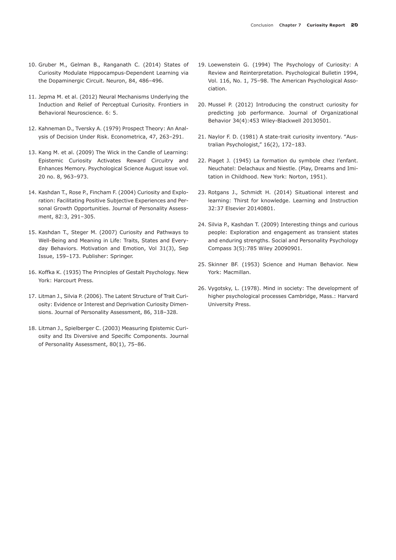- 10. Gruber M., Gelman B., Ranganath C. (2014) States of Curiosity Modulate Hippocampus-Dependent Learning via the Dopaminergic Circuit. Neuron, 84, 486–496.
- 11. Jepma M. et al. (2012) Neural Mechanisms Underlying the Induction and Relief of Perceptual Curiosity. Frontiers in Behavioral Neuroscience. 6: 5.
- 12. Kahneman D., Tversky A. (1979) Prospect Theory: An Analysis of Decision Under Risk. Econometrica, 47, 263–291.
- 13. Kang M. et al. (2009) The Wick in the Candle of Learning: Epistemic Curiosity Activates Reward Circuitry and Enhances Memory. Psychological Science August issue vol. 20 no. 8, 963–973.
- 14. Kashdan T., Rose P., Fincham F. (2004) Curiosity and Exploration: Facilitating Positive Subjective Experiences and Personal Growth Opportunities. Journal of Personality Assessment, 82:3, 291–305.
- 15. Kashdan T., Steger M. (2007) Curiosity and Pathways to Well-Being and Meaning in Life: Traits, States and Everyday Behaviors. Motivation and Emotion, Vol 31(3), Sep Issue, 159–173. Publisher: Springer.
- 16. Koffka K. (1935) The Principles of Gestalt Psychology. New York: Harcourt Press.
- 17. Litman J., Silvia P. (2006). The Latent Structure of Trait Curiosity: Evidence or Interest and Deprivation Curiosity Dimensions. Journal of Personality Assessment, 86, 318–328.
- 18. Litman J., Spielberger C. (2003) Measuring Epistemic Curiosity and Its Diversive and Specific Components. Journal of Personality Assessment, 80(1), 75–86.
- 19. Loewenstein G. (1994) The Psychology of Curiosity: A Review and Reinterpretation. Psychological Bulletin 1994, Vol. 116, No. 1, 75–98. The American Psychological Association.
- 20. Mussel P. (2012) Introducing the construct curiosity for predicting job performance. Journal of Organizational Behavior 34(4):453 Wiley-Blackwell 20130501.
- 21. Naylor F. D. (1981) A state-trait curiosity inventory. "Australian Psychologist," 16(2), 172–183.
- 22. Piaget J. (1945) La formation du symbole chez l'enfant. Neuchatel: Delachaux and Niestle. (Play, Dreams and Imitation in Childhood. New York: Norton, 1951).
- 23. Rotgans J., Schmidt H. (2014) Situational interest and learning: Thirst for knowledge. Learning and Instruction 32:37 Elsevier 20140801.
- 24. Silvia P., Kashdan T. (2009) Interesting things and curious people: Exploration and engagement as transient states and enduring strengths. Social and Personality Psychology Compass 3(5):785 Wiley 20090901.
- 25. Skinner BF. (1953) Science and Human Behavior. New York: Macmillan.
- 26. Vygotsky, L. (1978). Mind in society: The development of higher psychological processes Cambridge, Mass.: Harvard University Press.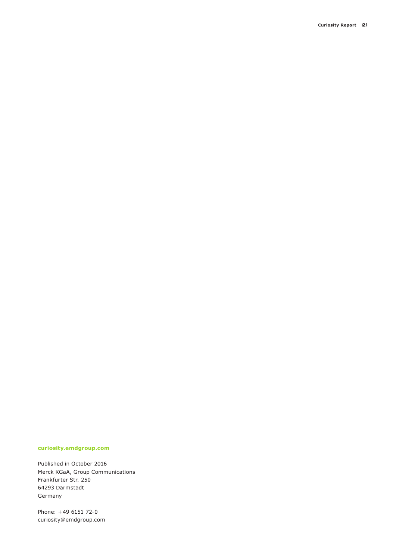#### **curiosity.emdgroup.com**

Published in October 2016 Merck KGaA, Group Communications Frankfurter Str. 250 64293 Darmstadt Germany

Phone: +49 6151 72-0 curiosity@emdgroup.com